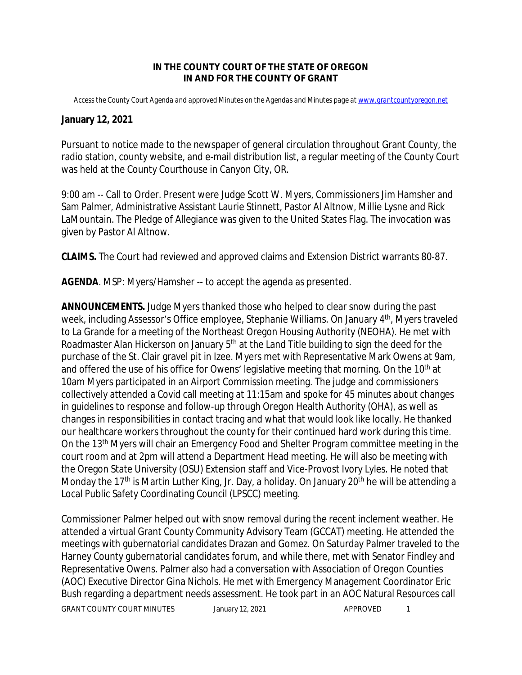## **IN THE COUNTY COURT OF THE STATE OF OREGON IN AND FOR THE COUNTY OF GRANT**

*Access the County Court Agenda and approved Minutes on the Agendas and Minutes page at [www.grantcountyoregon.net](http://www.)*

## **January 12, 2021**

Pursuant to notice made to the newspaper of general circulation throughout Grant County, the radio station, county website, and e-mail distribution list, a regular meeting of the County Court was held at the County Courthouse in Canyon City, OR.

9:00 am -- Call to Order. Present were Judge Scott W. Myers, Commissioners Jim Hamsher and Sam Palmer, Administrative Assistant Laurie Stinnett, Pastor Al Altnow, Millie Lysne and Rick LaMountain. The Pledge of Allegiance was given to the United States Flag. The invocation was given by Pastor Al Altnow.

**CLAIMS.** The Court had reviewed and approved claims and Extension District warrants 80-87.

**AGENDA**. MSP: Myers/Hamsher -- to accept the agenda as presented.

**ANNOUNCEMENTS.** Judge Myers thanked those who helped to clear snow during the past week, including Assessor's Office employee, Stephanie Williams. On January 4<sup>th</sup>, Myers traveled to La Grande for a meeting of the Northeast Oregon Housing Authority (NEOHA). He met with Roadmaster Alan Hickerson on January 5<sup>th</sup> at the Land Title building to sign the deed for the purchase of the St. Clair gravel pit in Izee. Myers met with Representative Mark Owens at 9am, and offered the use of his office for Owens' legislative meeting that morning. On the 10<sup>th</sup> at 10am Myers participated in an Airport Commission meeting. The judge and commissioners collectively attended a Covid call meeting at 11:15am and spoke for 45 minutes about changes in guidelines to response and follow-up through Oregon Health Authority (OHA), as well as changes in responsibilities in contact tracing and what that would look like locally. He thanked our healthcare workers throughout the county for their continued hard work during this time. On the 13th Myers will chair an Emergency Food and Shelter Program committee meeting in the court room and at 2pm will attend a Department Head meeting. He will also be meeting with the Oregon State University (OSU) Extension staff and Vice-Provost Ivory Lyles. He noted that Monday the 17<sup>th</sup> is Martin Luther King, Jr. Day, a holiday. On January 20<sup>th</sup> he will be attending a Local Public Safety Coordinating Council (LPSCC) meeting.

GRANT COUNTY COURT MINUTES January 12, 2021 APPROVED 1 Commissioner Palmer helped out with snow removal during the recent inclement weather. He attended a virtual Grant County Community Advisory Team (GCCAT) meeting. He attended the meetings with gubernatorial candidates Drazan and Gomez. On Saturday Palmer traveled to the Harney County gubernatorial candidates forum, and while there, met with Senator Findley and Representative Owens. Palmer also had a conversation with Association of Oregon Counties (AOC) Executive Director Gina Nichols. He met with Emergency Management Coordinator Eric Bush regarding a department needs assessment. He took part in an AOC Natural Resources call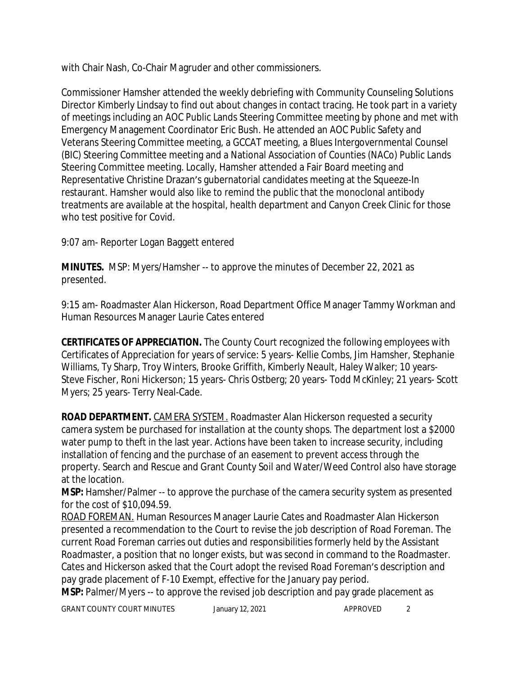with Chair Nash, Co-Chair Magruder and other commissioners.

Commissioner Hamsher attended the weekly debriefing with Community Counseling Solutions Director Kimberly Lindsay to find out about changes in contact tracing. He took part in a variety of meetings including an AOC Public Lands Steering Committee meeting by phone and met with Emergency Management Coordinator Eric Bush. He attended an AOC Public Safety and Veterans Steering Committee meeting, a GCCAT meeting, a Blues Intergovernmental Counsel (BIC) Steering Committee meeting and a National Association of Counties (NACo) Public Lands Steering Committee meeting. Locally, Hamsher attended a Fair Board meeting and Representative Christine Drazan's gubernatorial candidates meeting at the Squeeze-In restaurant. Hamsher would also like to remind the public that the monoclonal antibody treatments are available at the hospital, health department and Canyon Creek Clinic for those who test positive for Covid.

9:07 am- Reporter Logan Baggett entered

**MINUTES.** MSP: Myers/Hamsher -- to approve the minutes of December 22, 2021 as presented.

9:15 am- Roadmaster Alan Hickerson, Road Department Office Manager Tammy Workman and Human Resources Manager Laurie Cates entered

**CERTIFICATES OF APPRECIATION.** The County Court recognized the following employees with Certificates of Appreciation for years of service: 5 years- Kellie Combs, Jim Hamsher, Stephanie Williams, Ty Sharp, Troy Winters, Brooke Griffith, Kimberly Neault, Haley Walker; 10 years-Steve Fischer, Roni Hickerson; 15 years- Chris Ostberg; 20 years- Todd McKinley; 21 years- Scott Myers; 25 years- Terry Neal-Cade.

**ROAD DEPARTMENT.** CAMERA SYSTEM. Roadmaster Alan Hickerson requested a security camera system be purchased for installation at the county shops. The department lost a \$2000 water pump to theft in the last year. Actions have been taken to increase security, including installation of fencing and the purchase of an easement to prevent access through the property. Search and Rescue and Grant County Soil and Water/Weed Control also have storage at the location.

**MSP:** Hamsher/Palmer -- to approve the purchase of the camera security system as presented for the cost of \$10,094.59.

ROAD FOREMAN. Human Resources Manager Laurie Cates and Roadmaster Alan Hickerson presented a recommendation to the Court to revise the job description of Road Foreman. The current Road Foreman carries out duties and responsibilities formerly held by the Assistant Roadmaster, a position that no longer exists, but was second in command to the Roadmaster. Cates and Hickerson asked that the Court adopt the revised Road Foreman's description and pay grade placement of F-10 Exempt, effective for the January pay period.

**MSP:** Palmer/Myers -- to approve the revised job description and pay grade placement as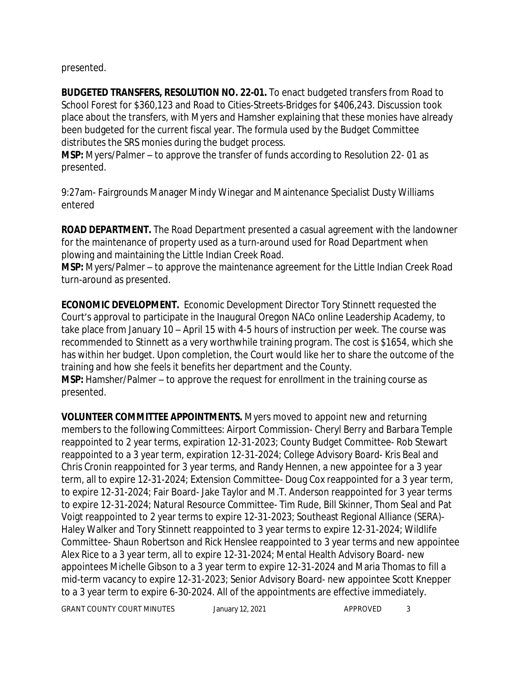presented.

**BUDGETED TRANSFERS, RESOLUTION NO. 22-01.** To enact budgeted transfers from Road to School Forest for \$360,123 and Road to Cities-Streets-Bridges for \$406,243. Discussion took place about the transfers, with Myers and Hamsher explaining that these monies have already been budgeted for the current fiscal year. The formula used by the Budget Committee distributes the SRS monies during the budget process.

**MSP:** Myers/Palmer – to approve the transfer of funds according to Resolution 22- 01 as presented.

9:27am- Fairgrounds Manager Mindy Winegar and Maintenance Specialist Dusty Williams entered

**ROAD DEPARTMENT.** The Road Department presented a casual agreement with the landowner for the maintenance of property used as a turn-around used for Road Department when plowing and maintaining the Little Indian Creek Road.

**MSP:** Myers/Palmer – to approve the maintenance agreement for the Little Indian Creek Road turn-around as presented.

**ECONOMIC DEVELOPMENT.** Economic Development Director Tory Stinnett requested the Court's approval to participate in the Inaugural Oregon NACo online Leadership Academy, to take place from January 10 – April 15 with 4-5 hours of instruction per week. The course was recommended to Stinnett as a very worthwhile training program. The cost is \$1654, which she has within her budget. Upon completion, the Court would like her to share the outcome of the training and how she feels it benefits her department and the County.

**MSP:** Hamsher/Palmer – to approve the request for enrollment in the training course as presented.

**VOLUNTEER COMMITTEE APPOINTMENTS.** Myers moved to appoint new and returning members to the following Committees: Airport Commission- Cheryl Berry and Barbara Temple reappointed to 2 year terms, expiration 12-31-2023; County Budget Committee- Rob Stewart reappointed to a 3 year term, expiration 12-31-2024; College Advisory Board- Kris Beal and Chris Cronin reappointed for 3 year terms, and Randy Hennen, a new appointee for a 3 year term, all to expire 12-31-2024; Extension Committee- Doug Cox reappointed for a 3 year term, to expire 12-31-2024; Fair Board- Jake Taylor and M.T. Anderson reappointed for 3 year terms to expire 12-31-2024; Natural Resource Committee- Tim Rude, Bill Skinner, Thom Seal and Pat Voigt reappointed to 2 year terms to expire 12-31-2023; Southeast Regional Alliance (SERA)- Haley Walker and Tory Stinnett reappointed to 3 year terms to expire 12-31-2024; Wildlife Committee- Shaun Robertson and Rick Henslee reappointed to 3 year terms and new appointee Alex Rice to a 3 year term, all to expire 12-31-2024; Mental Health Advisory Board- new appointees Michelle Gibson to a 3 year term to expire 12-31-2024 and Maria Thomas to fill a mid-term vacancy to expire 12-31-2023; Senior Advisory Board- new appointee Scott Knepper to a 3 year term to expire 6-30-2024. All of the appointments are effective immediately.

GRANT COUNTY COURT MINUTES January 12, 2021 APPROVED 3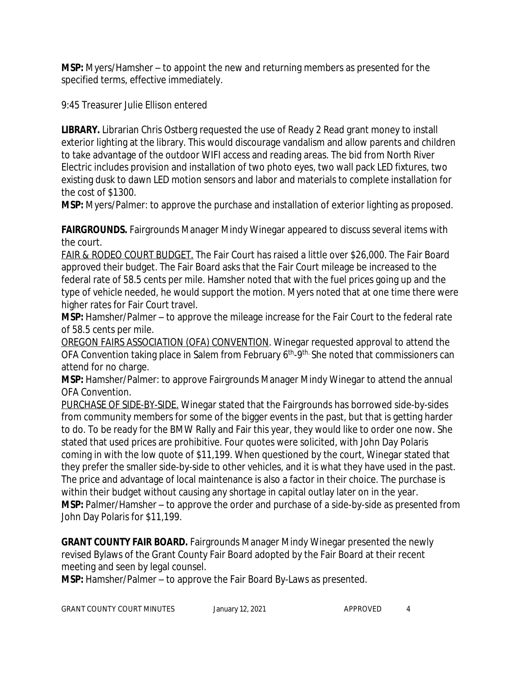**MSP:** Myers/Hamsher – to appoint the new and returning members as presented for the specified terms, effective immediately.

9:45 Treasurer Julie Ellison entered

**LIBRARY.** Librarian Chris Ostberg requested the use of Ready 2 Read grant money to install exterior lighting at the library. This would discourage vandalism and allow parents and children to take advantage of the outdoor WIFI access and reading areas. The bid from North River Electric includes provision and installation of two photo eyes, two wall pack LED fixtures, two existing dusk to dawn LED motion sensors and labor and materials to complete installation for the cost of \$1300.

**MSP:** Myers/Palmer: to approve the purchase and installation of exterior lighting as proposed.

**FAIRGROUNDS.** Fairgrounds Manager Mindy Winegar appeared to discuss several items with the court.

FAIR & RODEO COURT BUDGET. The Fair Court has raised a little over \$26,000. The Fair Board approved their budget. The Fair Board asks that the Fair Court mileage be increased to the federal rate of 58.5 cents per mile. Hamsher noted that with the fuel prices going up and the type of vehicle needed, he would support the motion. Myers noted that at one time there were higher rates for Fair Court travel.

**MSP:** Hamsher/Palmer – to approve the mileage increase for the Fair Court to the federal rate of 58.5 cents per mile.

OREGON FAIRS ASSOCIATION (OFA) CONVENTION. Winegar requested approval to attend the OFA Convention taking place in Salem from February 6<sup>th</sup>-9<sup>th.</sup> She noted that commissioners can attend for no charge.

**MSP:** Hamsher/Palmer: to approve Fairgrounds Manager Mindy Winegar to attend the annual OFA Convention.

PURCHASE OF SIDE-BY-SIDE. Winegar stated that the Fairgrounds has borrowed side-by-sides from community members for some of the bigger events in the past, but that is getting harder to do. To be ready for the BMW Rally and Fair this year, they would like to order one now. She stated that used prices are prohibitive. Four quotes were solicited, with John Day Polaris coming in with the low quote of \$11,199. When questioned by the court, Winegar stated that they prefer the smaller side-by-side to other vehicles, and it is what they have used in the past. The price and advantage of local maintenance is also a factor in their choice. The purchase is within their budget without causing any shortage in capital outlay later on in the year. **MSP:** Palmer/Hamsher – to approve the order and purchase of a side-by-side as presented from John Day Polaris for \$11,199.

**GRANT COUNTY FAIR BOARD.** Fairgrounds Manager Mindy Winegar presented the newly revised Bylaws of the Grant County Fair Board adopted by the Fair Board at their recent meeting and seen by legal counsel.

**MSP:** Hamsher/Palmer – to approve the Fair Board By-Laws as presented.